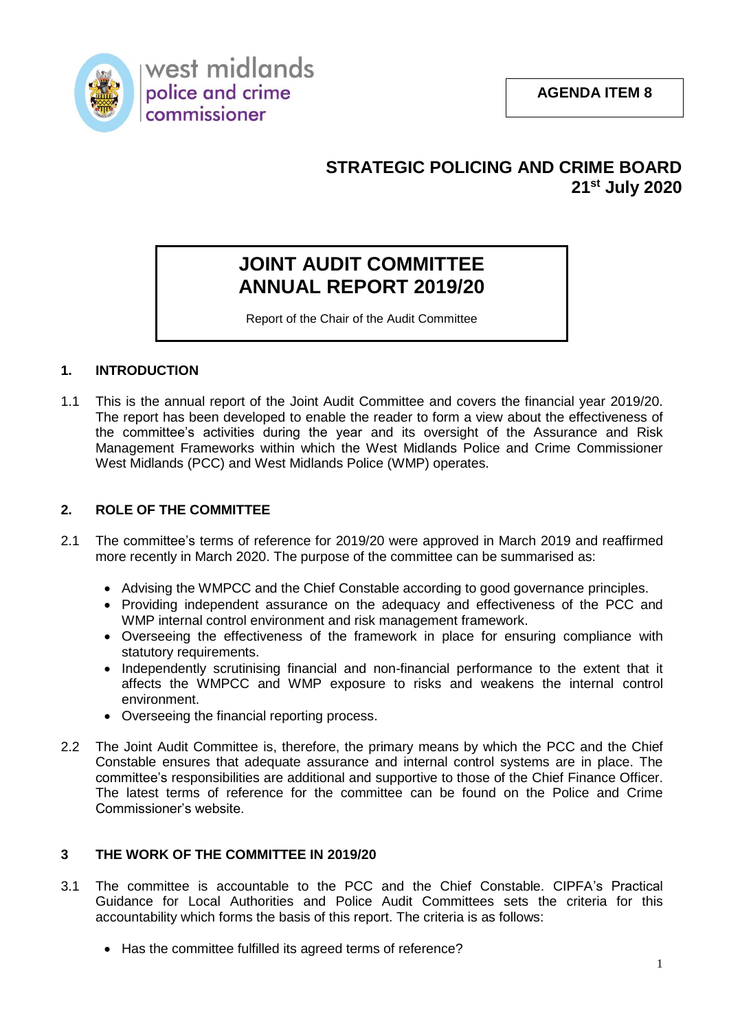

## **STRATEGIC POLICING AND CRIME BOARD 21st July 2020**

# **JOINT AUDIT COMMITTEE ANNUAL REPORT 2019/20**

Report of the Chair of the Audit Committee

## **1. INTRODUCTION**

1.1 This is the annual report of the Joint Audit Committee and covers the financial year 2019/20. The report has been developed to enable the reader to form a view about the effectiveness of the committee's activities during the year and its oversight of the Assurance and Risk Management Frameworks within which the West Midlands Police and Crime Commissioner West Midlands (PCC) and West Midlands Police (WMP) operates.

## **2. ROLE OF THE COMMITTEE**

- 2.1 The committee's terms of reference for 2019/20 were approved in March 2019 and reaffirmed more recently in March 2020. The purpose of the committee can be summarised as:
	- Advising the WMPCC and the Chief Constable according to good governance principles.
	- Providing independent assurance on the adequacy and effectiveness of the PCC and WMP internal control environment and risk management framework.
	- Overseeing the effectiveness of the framework in place for ensuring compliance with statutory requirements.
	- Independently scrutinising financial and non-financial performance to the extent that it affects the WMPCC and WMP exposure to risks and weakens the internal control environment.
	- Overseeing the financial reporting process.
- 2.2 The Joint Audit Committee is, therefore, the primary means by which the PCC and the Chief Constable ensures that adequate assurance and internal control systems are in place. The committee's responsibilities are additional and supportive to those of the Chief Finance Officer. The latest terms of reference for the committee can be found on the Police and Crime Commissioner's website.

## **3 THE WORK OF THE COMMITTEE IN 2019/20**

- 3.1 The committee is accountable to the PCC and the Chief Constable. CIPFA's Practical Guidance for Local Authorities and Police Audit Committees sets the criteria for this accountability which forms the basis of this report. The criteria is as follows:
	- Has the committee fulfilled its agreed terms of reference?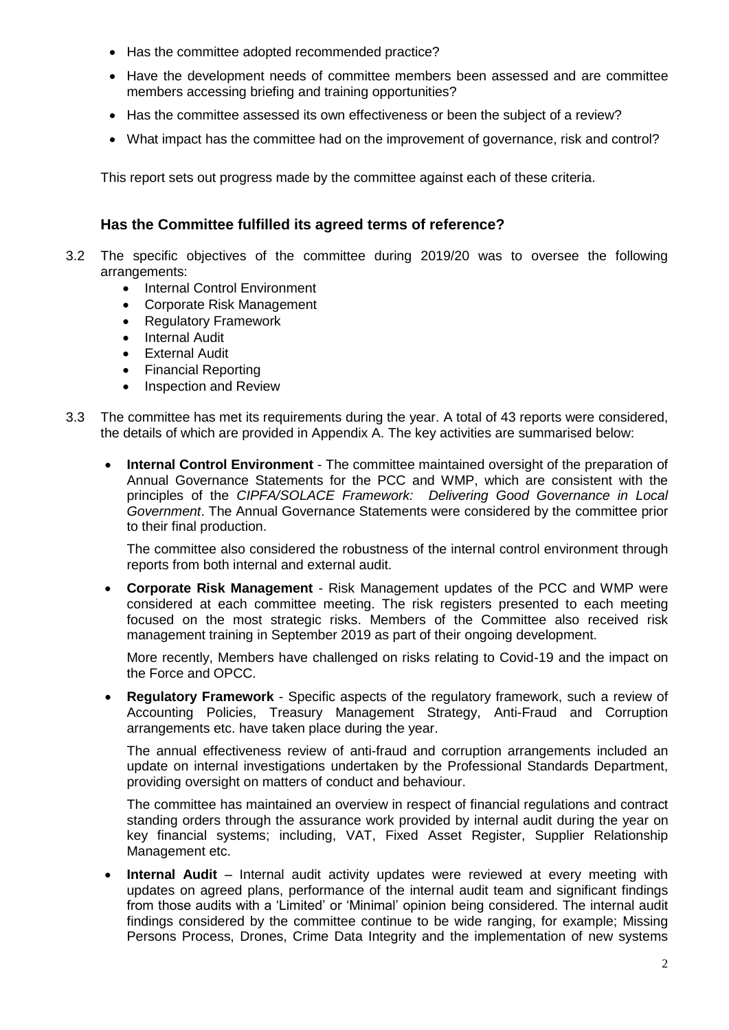- Has the committee adopted recommended practice?
- Have the development needs of committee members been assessed and are committee members accessing briefing and training opportunities?
- Has the committee assessed its own effectiveness or been the subject of a review?
- What impact has the committee had on the improvement of governance, risk and control?

This report sets out progress made by the committee against each of these criteria.

## **Has the Committee fulfilled its agreed terms of reference?**

- 3.2 The specific objectives of the committee during 2019/20 was to oversee the following arrangements:
	- Internal Control Environment
	- Corporate Risk Management
	- Regulatory Framework
	- **•** Internal Audit
	- External Audit
	- Financial Reporting
	- Inspection and Review
- 3.3 The committee has met its requirements during the year. A total of 43 reports were considered, the details of which are provided in Appendix A. The key activities are summarised below:
	- **Internal Control Environment** The committee maintained oversight of the preparation of Annual Governance Statements for the PCC and WMP, which are consistent with the principles of the *CIPFA/SOLACE Framework: Delivering Good Governance in Local Government*. The Annual Governance Statements were considered by the committee prior to their final production.

The committee also considered the robustness of the internal control environment through reports from both internal and external audit.

 **Corporate Risk Management** - Risk Management updates of the PCC and WMP were considered at each committee meeting. The risk registers presented to each meeting focused on the most strategic risks. Members of the Committee also received risk management training in September 2019 as part of their ongoing development.

More recently, Members have challenged on risks relating to Covid-19 and the impact on the Force and OPCC.

 **Regulatory Framework** - Specific aspects of the regulatory framework, such a review of Accounting Policies, Treasury Management Strategy, Anti-Fraud and Corruption arrangements etc. have taken place during the year.

The annual effectiveness review of anti-fraud and corruption arrangements included an update on internal investigations undertaken by the Professional Standards Department, providing oversight on matters of conduct and behaviour.

The committee has maintained an overview in respect of financial regulations and contract standing orders through the assurance work provided by internal audit during the year on key financial systems; including, VAT, Fixed Asset Register, Supplier Relationship Management etc.

**Internal Audit** – Internal audit activity updates were reviewed at every meeting with updates on agreed plans, performance of the internal audit team and significant findings from those audits with a 'Limited' or 'Minimal' opinion being considered. The internal audit findings considered by the committee continue to be wide ranging, for example; Missing Persons Process, Drones, Crime Data Integrity and the implementation of new systems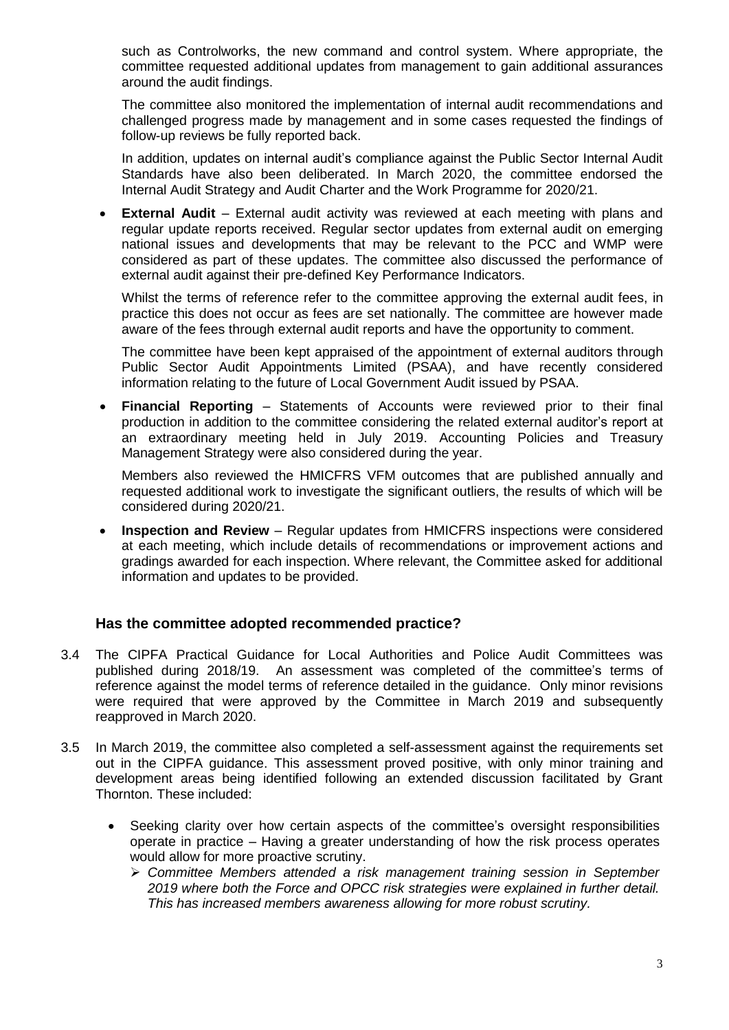such as Controlworks, the new command and control system. Where appropriate, the committee requested additional updates from management to gain additional assurances around the audit findings.

The committee also monitored the implementation of internal audit recommendations and challenged progress made by management and in some cases requested the findings of follow-up reviews be fully reported back.

In addition, updates on internal audit's compliance against the Public Sector Internal Audit Standards have also been deliberated. In March 2020, the committee endorsed the Internal Audit Strategy and Audit Charter and the Work Programme for 2020/21.

 **External Audit** – External audit activity was reviewed at each meeting with plans and regular update reports received. Regular sector updates from external audit on emerging national issues and developments that may be relevant to the PCC and WMP were considered as part of these updates. The committee also discussed the performance of external audit against their pre-defined Key Performance Indicators.

Whilst the terms of reference refer to the committee approving the external audit fees, in practice this does not occur as fees are set nationally. The committee are however made aware of the fees through external audit reports and have the opportunity to comment.

The committee have been kept appraised of the appointment of external auditors through Public Sector Audit Appointments Limited (PSAA), and have recently considered information relating to the future of Local Government Audit issued by PSAA.

 **Financial Reporting** – Statements of Accounts were reviewed prior to their final production in addition to the committee considering the related external auditor's report at an extraordinary meeting held in July 2019. Accounting Policies and Treasury Management Strategy were also considered during the year.

Members also reviewed the HMICFRS VFM outcomes that are published annually and requested additional work to investigate the significant outliers, the results of which will be considered during 2020/21.

 **Inspection and Review** – Regular updates from HMICFRS inspections were considered at each meeting, which include details of recommendations or improvement actions and gradings awarded for each inspection. Where relevant, the Committee asked for additional information and updates to be provided.

## **Has the committee adopted recommended practice?**

- 3.4 The CIPFA Practical Guidance for Local Authorities and Police Audit Committees was published during 2018/19. An assessment was completed of the committee's terms of reference against the model terms of reference detailed in the guidance. Only minor revisions were required that were approved by the Committee in March 2019 and subsequently reapproved in March 2020.
- 3.5 In March 2019, the committee also completed a self-assessment against the requirements set out in the CIPFA guidance. This assessment proved positive, with only minor training and development areas being identified following an extended discussion facilitated by Grant Thornton. These included:
	- Seeking clarity over how certain aspects of the committee's oversight responsibilities operate in practice – Having a greater understanding of how the risk process operates would allow for more proactive scrutiny.
		- *Committee Members attended a risk management training session in September 2019 where both the Force and OPCC risk strategies were explained in further detail. This has increased members awareness allowing for more robust scrutiny.*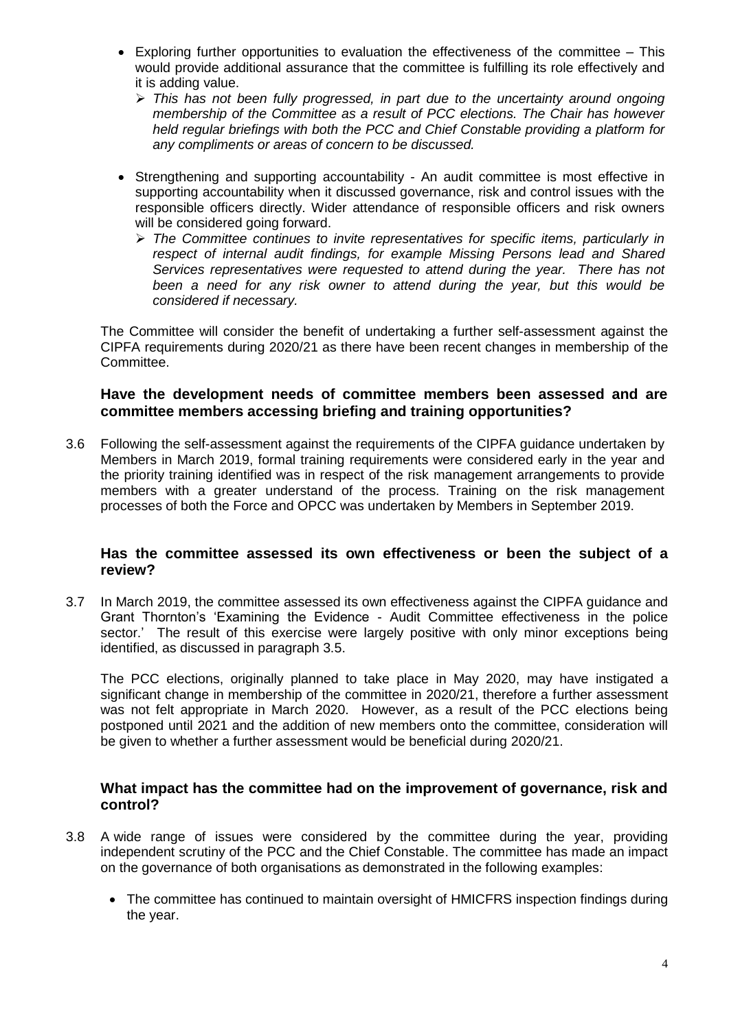- Exploring further opportunities to evaluation the effectiveness of the committee This would provide additional assurance that the committee is fulfilling its role effectively and it is adding value.
	- *This has not been fully progressed, in part due to the uncertainty around ongoing membership of the Committee as a result of PCC elections. The Chair has however held regular briefings with both the PCC and Chief Constable providing a platform for any compliments or areas of concern to be discussed.*
- Strengthening and supporting accountability An audit committee is most effective in supporting accountability when it discussed governance, risk and control issues with the responsible officers directly. Wider attendance of responsible officers and risk owners will be considered going forward.
	- *The Committee continues to invite representatives for specific items, particularly in respect of internal audit findings, for example Missing Persons lead and Shared Services representatives were requested to attend during the year. There has not been a need for any risk owner to attend during the year, but this would be considered if necessary.*

The Committee will consider the benefit of undertaking a further self-assessment against the CIPFA requirements during 2020/21 as there have been recent changes in membership of the Committee.

## **Have the development needs of committee members been assessed and are committee members accessing briefing and training opportunities?**

3.6 Following the self-assessment against the requirements of the CIPFA guidance undertaken by Members in March 2019, formal training requirements were considered early in the year and the priority training identified was in respect of the risk management arrangements to provide members with a greater understand of the process. Training on the risk management processes of both the Force and OPCC was undertaken by Members in September 2019.

### **Has the committee assessed its own effectiveness or been the subject of a review?**

3.7 In March 2019, the committee assessed its own effectiveness against the CIPFA guidance and Grant Thornton's 'Examining the Evidence - Audit Committee effectiveness in the police sector.' The result of this exercise were largely positive with only minor exceptions being identified, as discussed in paragraph 3.5.

The PCC elections, originally planned to take place in May 2020, may have instigated a significant change in membership of the committee in 2020/21, therefore a further assessment was not felt appropriate in March 2020. However, as a result of the PCC elections being postponed until 2021 and the addition of new members onto the committee, consideration will be given to whether a further assessment would be beneficial during 2020/21.

### **What impact has the committee had on the improvement of governance, risk and control?**

- 3.8 A wide range of issues were considered by the committee during the year, providing independent scrutiny of the PCC and the Chief Constable. The committee has made an impact on the governance of both organisations as demonstrated in the following examples:
	- The committee has continued to maintain oversight of HMICFRS inspection findings during the year.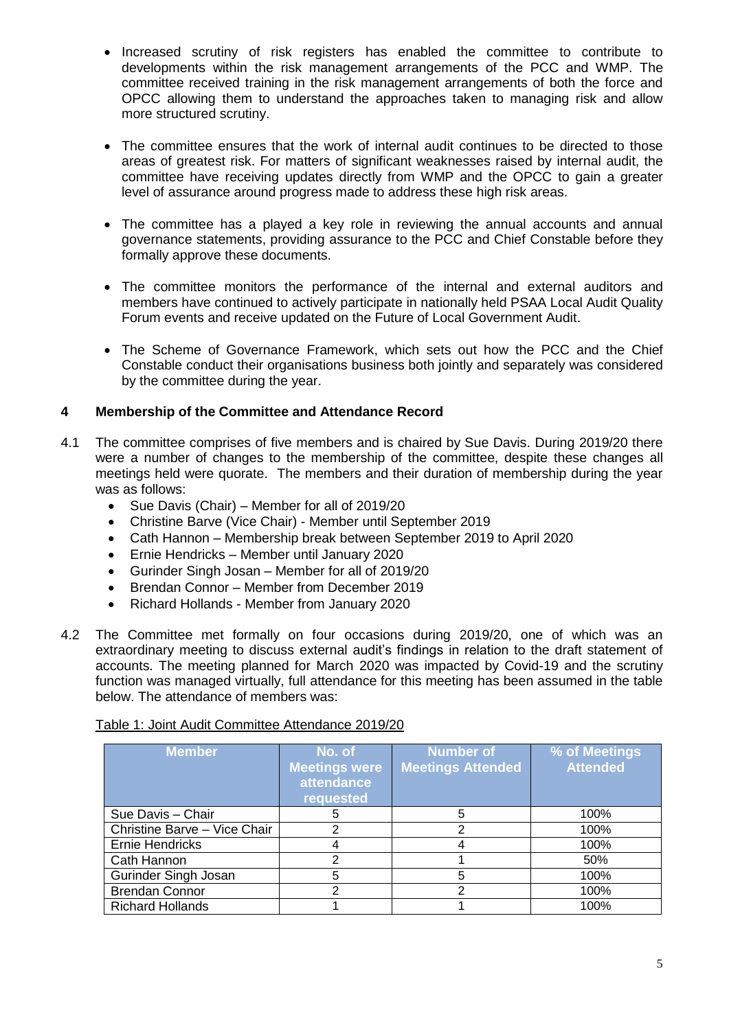- Increased scrutiny of risk registers has enabled the committee to contribute to developments within the risk management arrangements of the PCC and WMP. The committee received training in the risk management arrangements of both the force and OPCC allowing them to understand the approaches taken to managing risk and allow more structured scrutiny.
- The committee ensures that the work of internal audit continues to be directed to those areas of greatest risk. For matters of significant weaknesses raised by internal audit, the committee have receiving updates directly from WMP and the OPCC to gain a greater level of assurance around progress made to address these high risk areas.
- The committee has a played a key role in reviewing the annual accounts and annual governance statements, providing assurance to the PCC and Chief Constable before they formally approve these documents.
- The committee monitors the performance of the internal and external auditors and members have continued to actively participate in nationally held PSAA Local Audit Quality Forum events and receive updated on the Future of Local Government Audit.
- The Scheme of Governance Framework, which sets out how the PCC and the Chief Constable conduct their organisations business both jointly and separately was considered by the committee during the year.

## **4 Membership of the Committee and Attendance Record**

- 4.1 The committee comprises of five members and is chaired by Sue Davis. During 2019/20 there were a number of changes to the membership of the committee, despite these changes all meetings held were quorate. The members and their duration of membership during the year was as follows:
	- Sue Davis (Chair) Member for all of 2019/20
	- Christine Barve (Vice Chair) Member until September 2019
	- Cath Hannon Membership break between September 2019 to April 2020
	- Ernie Hendricks Member until January 2020
	- Gurinder Singh Josan Member for all of 2019/20
	- Brendan Connor Member from December 2019
	- Richard Hollands Member from January 2020
- 4.2 The Committee met formally on four occasions during 2019/20, one of which was an extraordinary meeting to discuss external audit's findings in relation to the draft statement of accounts. The meeting planned for March 2020 was impacted by Covid-19 and the scrutiny function was managed virtually, full attendance for this meeting has been assumed in the table below. The attendance of members was:

#### Table 1: Joint Audit Committee Attendance 2019/20

| <b>Member</b>                | No. of<br><b>Meetings were</b><br>attendance<br>requested | <b>Number of</b><br><b>Meetings Attended</b> | % of Meetings<br><b>Attended</b> |
|------------------------------|-----------------------------------------------------------|----------------------------------------------|----------------------------------|
| Sue Davis - Chair            |                                                           | 5                                            | 100%                             |
| Christine Barve - Vice Chair |                                                           | 2                                            | 100%                             |
| Ernie Hendricks              |                                                           |                                              | 100%                             |
| Cath Hannon                  | າ                                                         |                                              | 50%                              |
| Gurinder Singh Josan         | 5                                                         | 5                                            | 100%                             |
| <b>Brendan Connor</b>        | າ                                                         | 2                                            | 100%                             |
| <b>Richard Hollands</b>      |                                                           |                                              | 100%                             |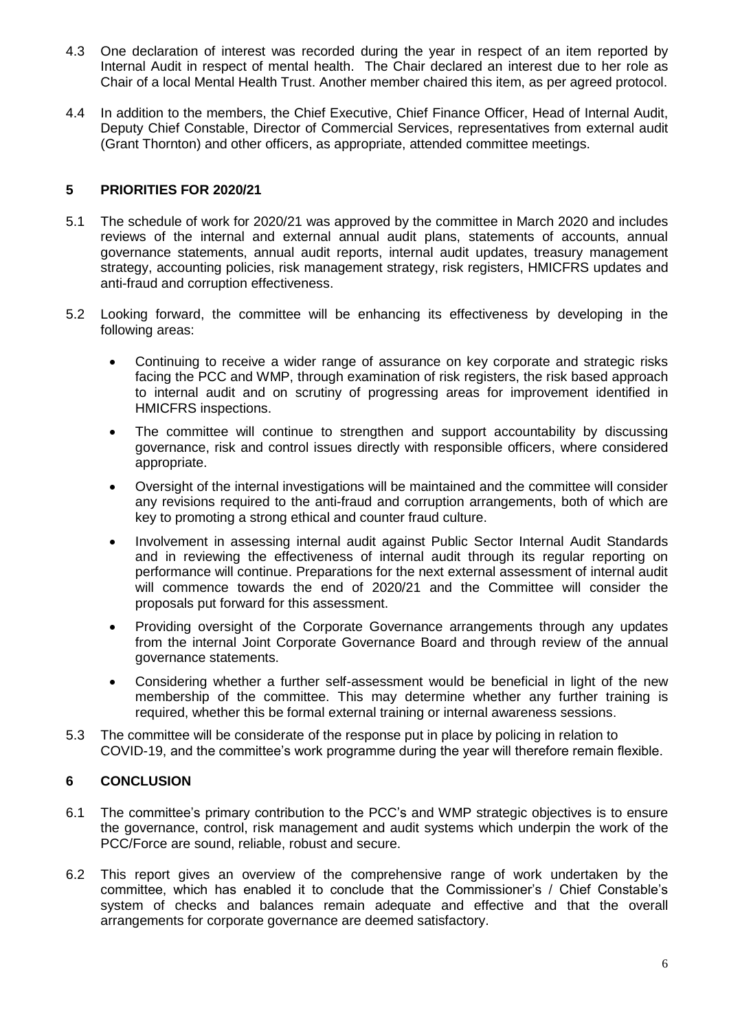- 4.3 One declaration of interest was recorded during the year in respect of an item reported by Internal Audit in respect of mental health. The Chair declared an interest due to her role as Chair of a local Mental Health Trust. Another member chaired this item, as per agreed protocol.
- 4.4 In addition to the members, the Chief Executive, Chief Finance Officer, Head of Internal Audit, Deputy Chief Constable, Director of Commercial Services, representatives from external audit (Grant Thornton) and other officers, as appropriate, attended committee meetings.

### **5 PRIORITIES FOR 2020/21**

- 5.1 The schedule of work for 2020/21 was approved by the committee in March 2020 and includes reviews of the internal and external annual audit plans, statements of accounts, annual governance statements, annual audit reports, internal audit updates, treasury management strategy, accounting policies, risk management strategy, risk registers, HMICFRS updates and anti-fraud and corruption effectiveness.
- 5.2 Looking forward, the committee will be enhancing its effectiveness by developing in the following areas:
	- Continuing to receive a wider range of assurance on key corporate and strategic risks facing the PCC and WMP, through examination of risk registers, the risk based approach to internal audit and on scrutiny of progressing areas for improvement identified in HMICFRS inspections.
	- The committee will continue to strengthen and support accountability by discussing governance, risk and control issues directly with responsible officers, where considered appropriate.
	- Oversight of the internal investigations will be maintained and the committee will consider any revisions required to the anti-fraud and corruption arrangements, both of which are key to promoting a strong ethical and counter fraud culture.
	- Involvement in assessing internal audit against Public Sector Internal Audit Standards and in reviewing the effectiveness of internal audit through its regular reporting on performance will continue. Preparations for the next external assessment of internal audit will commence towards the end of 2020/21 and the Committee will consider the proposals put forward for this assessment.
	- Providing oversight of the Corporate Governance arrangements through any updates from the internal Joint Corporate Governance Board and through review of the annual governance statements.
	- Considering whether a further self-assessment would be beneficial in light of the new membership of the committee. This may determine whether any further training is required, whether this be formal external training or internal awareness sessions.
- 5.3 The committee will be considerate of the response put in place by policing in relation to COVID-19, and the committee's work programme during the year will therefore remain flexible.

#### **6 CONCLUSION**

- 6.1 The committee's primary contribution to the PCC's and WMP strategic objectives is to ensure the governance, control, risk management and audit systems which underpin the work of the PCC/Force are sound, reliable, robust and secure.
- 6.2 This report gives an overview of the comprehensive range of work undertaken by the committee, which has enabled it to conclude that the Commissioner's / Chief Constable's system of checks and balances remain adequate and effective and that the overall arrangements for corporate governance are deemed satisfactory.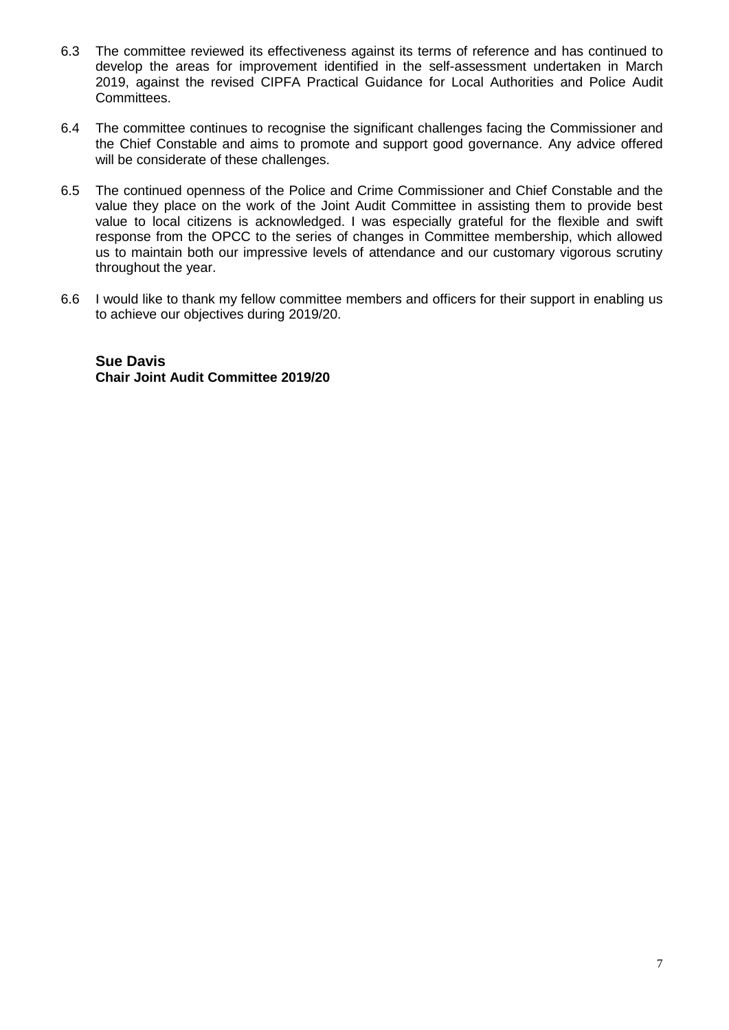- 6.3 The committee reviewed its effectiveness against its terms of reference and has continued to develop the areas for improvement identified in the self-assessment undertaken in March 2019, against the revised CIPFA Practical Guidance for Local Authorities and Police Audit Committees.
- 6.4 The committee continues to recognise the significant challenges facing the Commissioner and the Chief Constable and aims to promote and support good governance. Any advice offered will be considerate of these challenges.
- 6.5 The continued openness of the Police and Crime Commissioner and Chief Constable and the value they place on the work of the Joint Audit Committee in assisting them to provide best value to local citizens is acknowledged. I was especially grateful for the flexible and swift response from the OPCC to the series of changes in Committee membership, which allowed us to maintain both our impressive levels of attendance and our customary vigorous scrutiny throughout the year.
- 6.6 I would like to thank my fellow committee members and officers for their support in enabling us to achieve our objectives during 2019/20.

**Sue Davis Chair Joint Audit Committee 2019/20**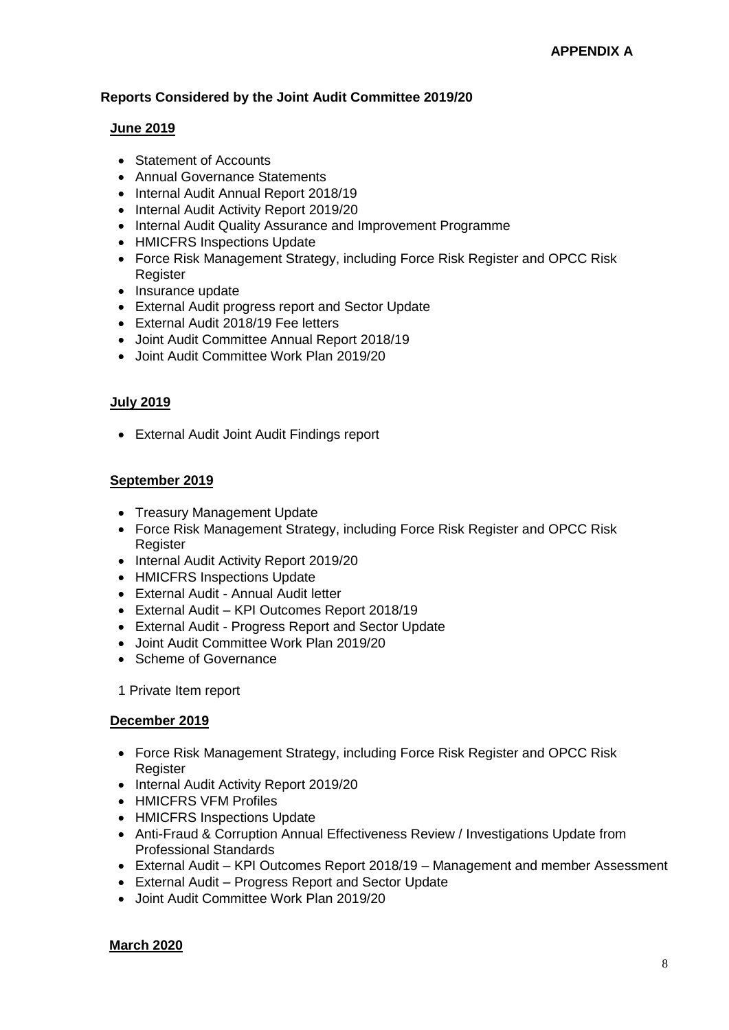#### **Reports Considered by the Joint Audit Committee 2019/20**

#### **June 2019**

- Statement of Accounts
- Annual Governance Statements
- Internal Audit Annual Report 2018/19
- Internal Audit Activity Report 2019/20
- Internal Audit Quality Assurance and Improvement Programme
- HMICFRS Inspections Update
- Force Risk Management Strategy, including Force Risk Register and OPCC Risk **Register**
- Insurance update
- External Audit progress report and Sector Update
- External Audit 2018/19 Fee letters
- Joint Audit Committee Annual Report 2018/19
- Joint Audit Committee Work Plan 2019/20

#### **July 2019**

External Audit Joint Audit Findings report

#### **September 2019**

- Treasury Management Update
- Force Risk Management Strategy, including Force Risk Register and OPCC Risk **Register**
- Internal Audit Activity Report 2019/20
- HMICFRS Inspections Update
- External Audit Annual Audit letter
- External Audit KPI Outcomes Report 2018/19
- External Audit Progress Report and Sector Update
- Joint Audit Committee Work Plan 2019/20
- Scheme of Governance

1 Private Item report

#### **December 2019**

- Force Risk Management Strategy, including Force Risk Register and OPCC Risk **Register**
- Internal Audit Activity Report 2019/20
- HMICFRS VFM Profiles
- HMICFRS Inspections Update
- Anti-Fraud & Corruption Annual Effectiveness Review / Investigations Update from Professional Standards
- External Audit KPI Outcomes Report 2018/19 Management and member Assessment
- External Audit Progress Report and Sector Update
- Joint Audit Committee Work Plan 2019/20

#### **March 2020**